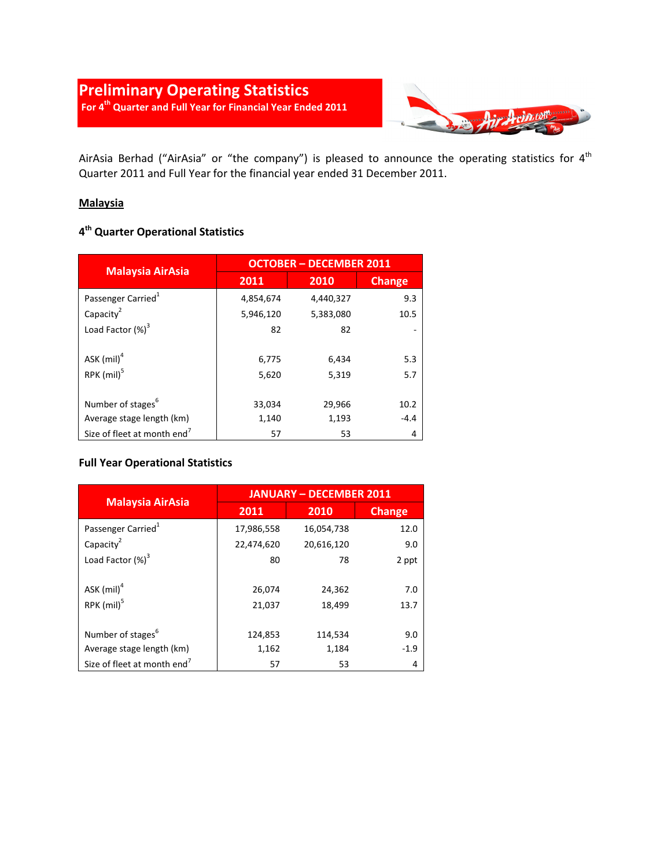

AirAsia Berhad ("AirAsia" or "the company") is pleased to announce the operating statistics for 4<sup>th</sup> Quarter 2011 and Full Year for the financial year ended 31 December 2011.

## **Malaysia**

## **4 th Quarter Operational Statistics**

| <b>Malaysia AirAsia</b>                 | <b>OCTOBER - DECEMBER 2011</b> |           |               |
|-----------------------------------------|--------------------------------|-----------|---------------|
|                                         | 2011                           | 2010      | <b>Change</b> |
| Passenger Carried <sup>1</sup>          | 4,854,674                      | 4,440,327 | 9.3           |
| Capacity <sup>2</sup>                   | 5,946,120                      | 5,383,080 | 10.5          |
| Load Factor (%) <sup>3</sup>            | 82                             | 82        |               |
|                                         |                                |           |               |
| ASK $(mil)^4$                           | 6,775                          | 6,434     | 5.3           |
| $RPK$ (mil) <sup>5</sup>                | 5,620                          | 5,319     | 5.7           |
|                                         |                                |           |               |
| Number of stages <sup>6</sup>           | 33,034                         | 29,966    | 10.2          |
| Average stage length (km)               | 1,140                          | 1,193     | $-4.4$        |
| Size of fleet at month end <sup>7</sup> | 57                             | 53        | 4             |

#### **Full Year Operational Statistics**

|                                         | <b>JANUARY - DECEMBER 2011</b> |            |               |
|-----------------------------------------|--------------------------------|------------|---------------|
| <b>Malaysia AirAsia</b>                 | 2011                           | 2010       | <b>Change</b> |
| Passenger Carried <sup>1</sup>          | 17,986,558                     | 16,054,738 | 12.0          |
| Capacity <sup>2</sup>                   | 22,474,620                     | 20,616,120 | 9.0           |
| Load Factor $(\%)^3$                    | 80                             | 78         | 2 ppt         |
|                                         |                                |            |               |
| ASK $(mil)^4$                           | 26,074                         | 24,362     | 7.0           |
| RPK (mil) <sup>5</sup>                  | 21,037                         | 18,499     | 13.7          |
|                                         |                                |            |               |
| Number of stages <sup>6</sup>           | 124,853                        | 114,534    | 9.0           |
| Average stage length (km)               | 1,162                          | 1,184      | $-1.9$        |
| Size of fleet at month end <sup>7</sup> | 57                             | 53         | 4             |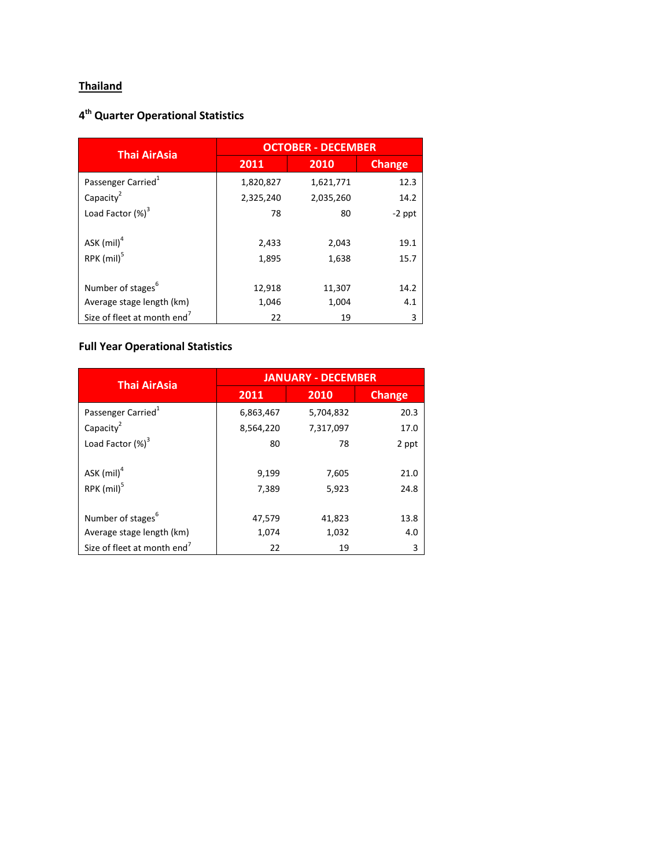# **Thailand**

## **4 th Quarter Operational Statistics**

| <b>Thai AirAsia</b>            | <b>OCTOBER - DECEMBER</b> |           |               |
|--------------------------------|---------------------------|-----------|---------------|
|                                | 2011                      | 2010      | <b>Change</b> |
| Passenger Carried <sup>1</sup> | 1,820,827                 | 1,621,771 | 12.3          |
| Capacity <sup>2</sup>          | 2,325,240                 | 2,035,260 | 14.2          |
| Load Factor $(\%)^3$           | 78                        | 80        | $-2$ ppt      |
|                                |                           |           |               |
| ASK $(mil)^4$                  | 2,433                     | 2,043     | 19.1          |
| $RPK$ (mil) <sup>5</sup>       | 1,895                     | 1,638     | 15.7          |
|                                |                           |           |               |
| Number of stages <sup>6</sup>  | 12,918                    | 11,307    | 14.2          |
| Average stage length (km)      | 1,046                     | 1,004     | 4.1           |
| Size of fleet at month end'    | 22                        | 19        | 3             |

# **Full Year Operational Statistics**

| <b>Thai AirAsia</b>                       | <b>JANUARY - DECEMBER</b> |                |               |
|-------------------------------------------|---------------------------|----------------|---------------|
|                                           | 2011                      | 2010           | <b>Change</b> |
| Passenger Carried <sup>1</sup>            | 6,863,467                 | 5,704,832      | 20.3          |
| Capacity <sup>2</sup>                     | 8,564,220                 | 7,317,097      | 17.0          |
| Load Factor $(\%)^3$                      | 80                        | 78             | 2 ppt         |
| ASK $(mil)^4$<br>$RPK$ (mil) <sup>5</sup> | 9,199<br>7,389            | 7,605<br>5,923 | 21.0<br>24.8  |
| Number of stages <sup>6</sup>             | 47,579                    | 41,823         | 13.8          |
| Average stage length (km)                 | 1,074                     | 1,032          | 4.0           |
| Size of fleet at month end <sup>7</sup>   | 22                        | 19             | 3             |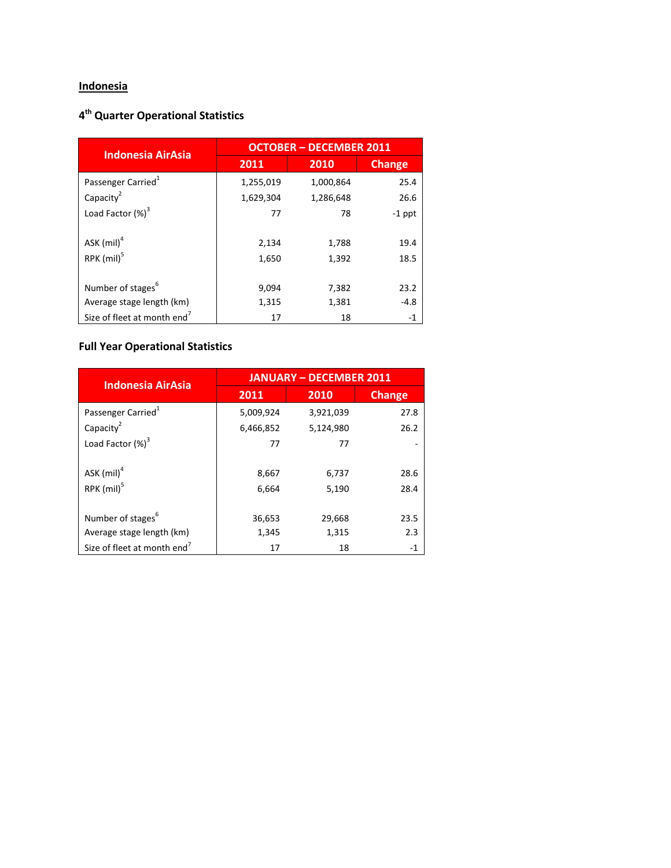# **Indonesia**

## **4 th Quarter Operational Statistics**

| <b>Indonesia AirAsia</b>       | <b>OCTOBER - DECEMBER 2011</b> |           |               |
|--------------------------------|--------------------------------|-----------|---------------|
|                                | 2011                           | 2010      | <b>Change</b> |
| Passenger Carried <sup>1</sup> | 1,255,019                      | 1,000,864 | 25.4          |
| Capacity <sup>2</sup>          | 1,629,304                      | 1,286,648 | 26.6          |
| Load Factor $(\%)^3$           | 77                             | 78        | $-1$ ppt      |
|                                |                                |           |               |
| ASK $(mil)^4$                  | 2,134                          | 1,788     | 19.4          |
| $RPK$ (mil) <sup>5</sup>       | 1,650                          | 1,392     | 18.5          |
|                                |                                |           |               |
| Number of stages <sup>6</sup>  | 9,094                          | 7,382     | 23.2          |
| Average stage length (km)      | 1,315                          | 1,381     | $-4.8$        |
| Size of fleet at month end'    | 17                             | 18        | -1            |

# **Full Year Operational Statistics**

| <b>Indonesia AirAsia</b>                | <b>JANUARY - DECEMBER 2011</b> |                |               |
|-----------------------------------------|--------------------------------|----------------|---------------|
|                                         | 2011                           | 2010           | <b>Change</b> |
| Passenger Carried <sup>1</sup>          | 5,009,924                      | 3,921,039      | 27.8          |
| Capacity <sup>2</sup>                   | 6,466,852                      | 5,124,980      | 26.2          |
| Load Factor $(\%)^3$                    | 77                             | 77             |               |
| ASK $(mil)^4$<br>RPK (mil) <sup>5</sup> | 8,667<br>6,664                 | 6,737<br>5,190 | 28.6<br>28.4  |
| Number of stages <sup>6</sup>           | 36,653                         | 29,668         | 23.5          |
| Average stage length (km)               | 1,345                          | 1,315          | 2.3           |
| Size of fleet at month end <sup>7</sup> | 17                             | 18             | $-1$          |